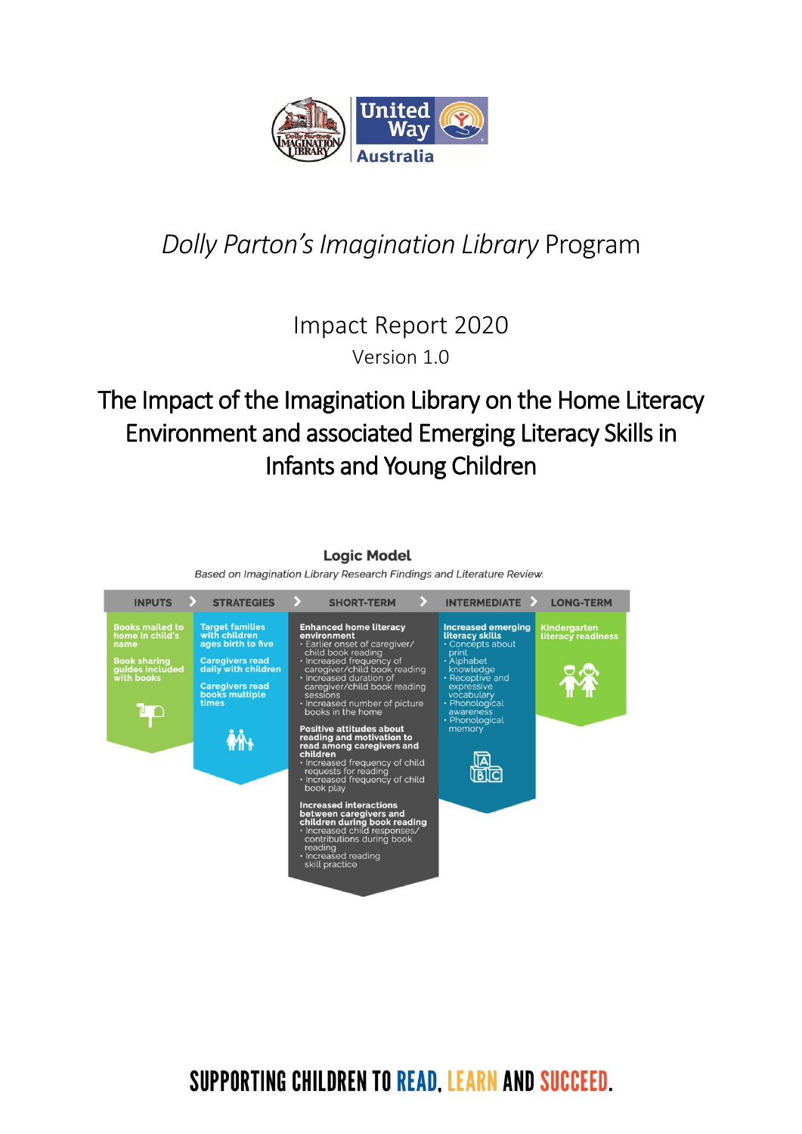

# *Dolly Parton'sImagination Library* Program

Impact Report 2020 Version 1.0

## The Impact of the Imagination Library on the Home Literacy Environment and associated Emerging Literacy Skills in Infants and Young Children

#### $\rightarrow$ SHORT-TERM  $\rightarrow$ **INPUTS STRATEGIES**  $INTERMEDIATE$ **LONG-TERM Enhanced home literacy**<br> **environment**<br>
• Earlier onset of caregiver/<br>
• Increased frequency of<br>
• Increased frequency<br>
• Increased duration of<br>
• Increased duration of Target families<br>with children<br>ages birth to five Increased emerging<br>literacy skills<br>• Concepts about K<mark>indergarten</mark><br>.iteracy readiness ooks mailed t<br>ome in child's • Concepts abou<br>
print<br>
• Alphabet<br>
• knceptive and<br>
• expressive<br>
• expressive<br>
• vocabulary<br>
• awareness<br>
• Phonological<br>
• menological<br>
• menological<br>
• menological<br>
• menological<br>
• menory **Caregivers read<br>daily with children** ok sharing<br>ides included<br>th books Caregivers read<br>books multiple<br>times mercused unitation<br>caregiver/child book reading<br>sessions<br>Increased number of picture<br>books in the home ĿΡ itive attitudes about<br>ding and motivation to  $\mathbf{\hat{M}}$ nong caregivers and ead among caregivers and<br>increased frequency of child<br>requests for reading<br>lncreased frequency of child<br>book play  $\mathbb{R}$ **Increased interactions<br>between caregivers and<br>children during book reading<br>· Increased child responses/<br>contributions during book** cading<br>eading<br>ncreased reading<br>:kill practice

**Logic Model** Based on Imagination Library Research Findings and Literature Review.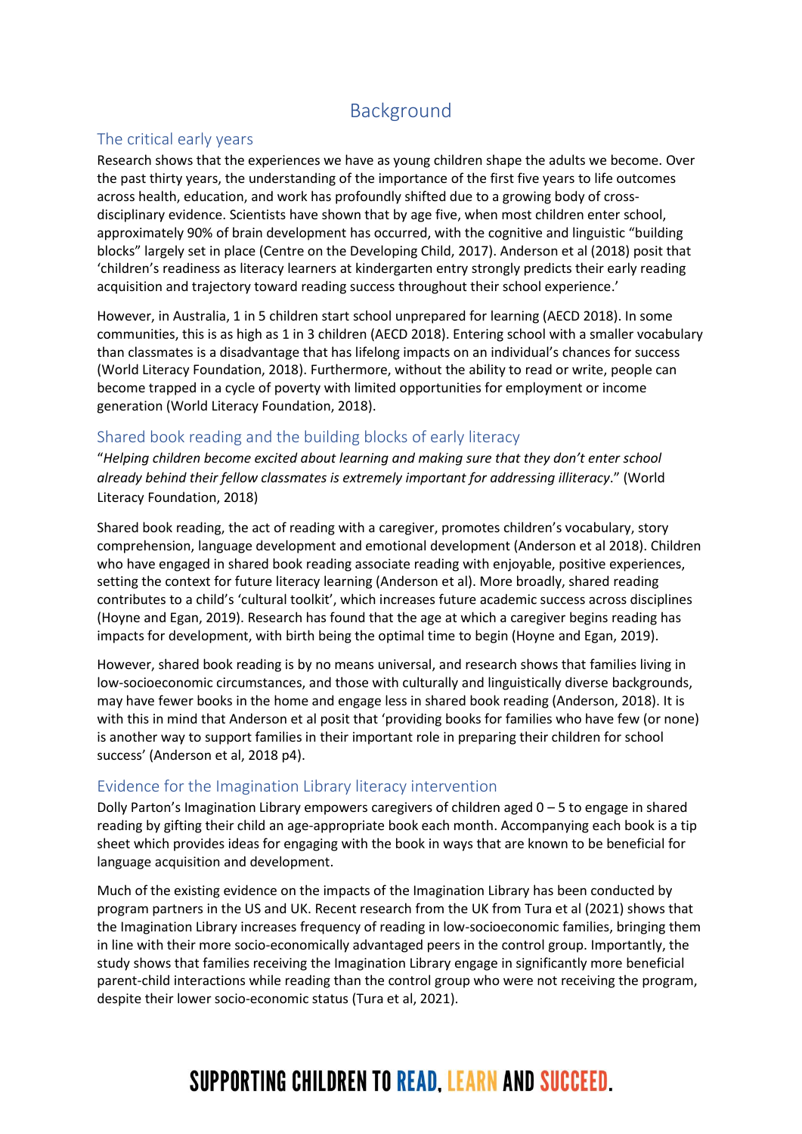### Background

### The critical early years

Research shows that the experiences we have as young children shape the adults we become. Over the past thirty years, the understanding of the importance of the first five years to life outcomes across health, education, and work has profoundly shifted due to a growing body of crossdisciplinary evidence. Scientists have shown that by age five, when most children enter school, approximately 90% of brain development has occurred, with the cognitive and linguistic "building blocks" largely set in place (Centre on the Developing Child, 2017). Anderson et al (2018) posit that 'children's readiness as literacy learners at kindergarten entry strongly predicts their early reading acquisition and trajectory toward reading success throughout their school experience.'

However, in Australia, 1 in 5 children start school unprepared for learning (AECD 2018). In some communities, this is as high as 1 in 3 children (AECD 2018). Entering school with a smaller vocabulary than classmates is a disadvantage that has lifelong impacts on an individual's chances for success (World Literacy Foundation, 2018). Furthermore, without the ability to read or write, people can become trapped in a cycle of poverty with limited opportunities for employment or income generation (World Literacy Foundation, 2018).

### Shared book reading and the building blocks of early literacy

"*Helping children become excited about learning and making sure that they don't enter school already behind their fellow classmates is extremely important for addressing illiteracy*." (World Literacy Foundation, 2018)

Shared book reading, the act of reading with a caregiver, promotes children's vocabulary, story comprehension, language development and emotional development (Anderson et al 2018). Children who have engaged in shared book reading associate reading with enjoyable, positive experiences, setting the context for future literacy learning (Anderson et al). More broadly, shared reading contributes to a child's 'cultural toolkit', which increases future academic success across disciplines (Hoyne and Egan, 2019). Research has found that the age at which a caregiver begins reading has impacts for development, with birth being the optimal time to begin (Hoyne and Egan, 2019).

However, shared book reading is by no means universal, and research shows that families living in low-socioeconomic circumstances, and those with culturally and linguistically diverse backgrounds, may have fewer books in the home and engage less in shared book reading (Anderson, 2018). It is with this in mind that Anderson et al posit that 'providing books for families who have few (or none) is another way to support families in their important role in preparing their children for school success' (Anderson et al, 2018 p4).

### Evidence for the Imagination Library literacy intervention

Dolly Parton's Imagination Library empowers caregivers of children aged 0 – 5 to engage in shared reading by gifting their child an age-appropriate book each month. Accompanying each book is a tip sheet which provides ideas for engaging with the book in ways that are known to be beneficial for language acquisition and development.

Much of the existing evidence on the impacts of the Imagination Library has been conducted by program partners in the US and UK. Recent research from the UK from Tura et al (2021) shows that the Imagination Library increases frequency of reading in low-socioeconomic families, bringing them in line with their more socio-economically advantaged peers in the control group. Importantly, the study shows that families receiving the Imagination Library engage in significantly more beneficial parent-child interactions while reading than the control group who were not receiving the program, despite their lower socio-economic status (Tura et al, 2021).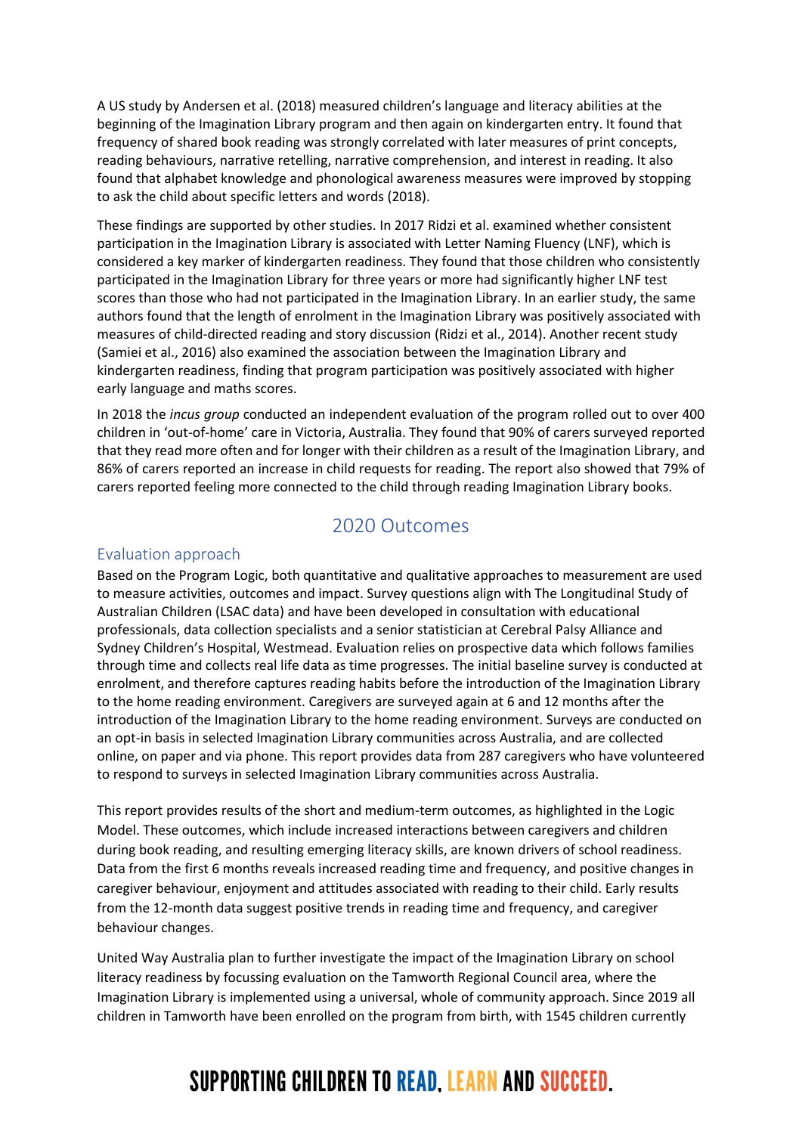A US study by Andersen et al. (2018) measured children's language and literacy abilities at the beginning of the Imagination Library program and then again on kindergarten entry. It found that frequency of shared book reading was strongly correlated with later measures of print concepts, reading behaviours, narrative retelling, narrative comprehension, and interest in reading. It also found that alphabet knowledge and phonological awareness measures were improved by stopping to ask the child about specific letters and words (2018).

These findings are supported by other studies. In 2017 Ridzi et al. examined whether consistent participation in the Imagination Library is associated with Letter Naming Fluency (LNF), which is considered a key marker of kindergarten readiness. They found that those children who consistently participated in the Imagination Library for three years or more had significantly higher LNF test scores than those who had not participated in the Imagination Library. In an earlier study, the same authors found that the length of enrolment in the Imagination Library was positively associated with measures of child-directed reading and story discussion (Ridzi et al., 2014). Another recent study (Samiei et al., 2016) also examined the association between the Imagination Library and kindergarten readiness, finding that program participation was positively associated with higher early language and maths scores.

In 2018 the *incus group* conducted an independent evaluation of the program rolled out to over 400 children in 'out-of-home' care in Victoria, Australia. They found that 90% of carers surveyed reported that they read more often and for longer with their children as a result of the Imagination Library, and 86% of carers reported an increase in child requests for reading. The report also showed that 79% of carers reported feeling more connected to the child through reading Imagination Library books.

### 2020 Outcomes

### Evaluation approach

Based on the Program Logic, both quantitative and qualitative approaches to measurement are used to measure activities, outcomes and impact. Survey questions align with The Longitudinal Study of Australian Children (LSAC data) and have been developed in consultation with educational professionals, data collection specialists and a senior statistician at Cerebral Palsy Alliance and Sydney Children's Hospital, Westmead. Evaluation relies on prospective data which follows families through time and collects real life data as time progresses. The initial baseline survey is conducted at enrolment, and therefore captures reading habits before the introduction of the Imagination Library to the home reading environment. Caregivers are surveyed again at 6 and 12 months after the introduction of the Imagination Library to the home reading environment. Surveys are conducted on an opt-in basis in selected Imagination Library communities across Australia, and are collected online, on paper and via phone. This report provides data from 287 caregivers who have volunteered to respond to surveys in selected Imagination Library communities across Australia.

This report provides results of the short and medium-term outcomes, as highlighted in the Logic Model. These outcomes, which include increased interactions between caregivers and children during book reading, and resulting emerging literacy skills, are known drivers of school readiness. Data from the first 6 months reveals increased reading time and frequency, and positive changes in caregiver behaviour, enjoyment and attitudes associated with reading to their child. Early results from the 12-month data suggest positive trends in reading time and frequency, and caregiver behaviour changes.

United Way Australia plan to further investigate the impact of the Imagination Library on school literacy readiness by focussing evaluation on the Tamworth Regional Council area, where the Imagination Library is implemented using a universal, whole of community approach. Since 2019 all children in Tamworth have been enrolled on the program from birth, with 1545 children currently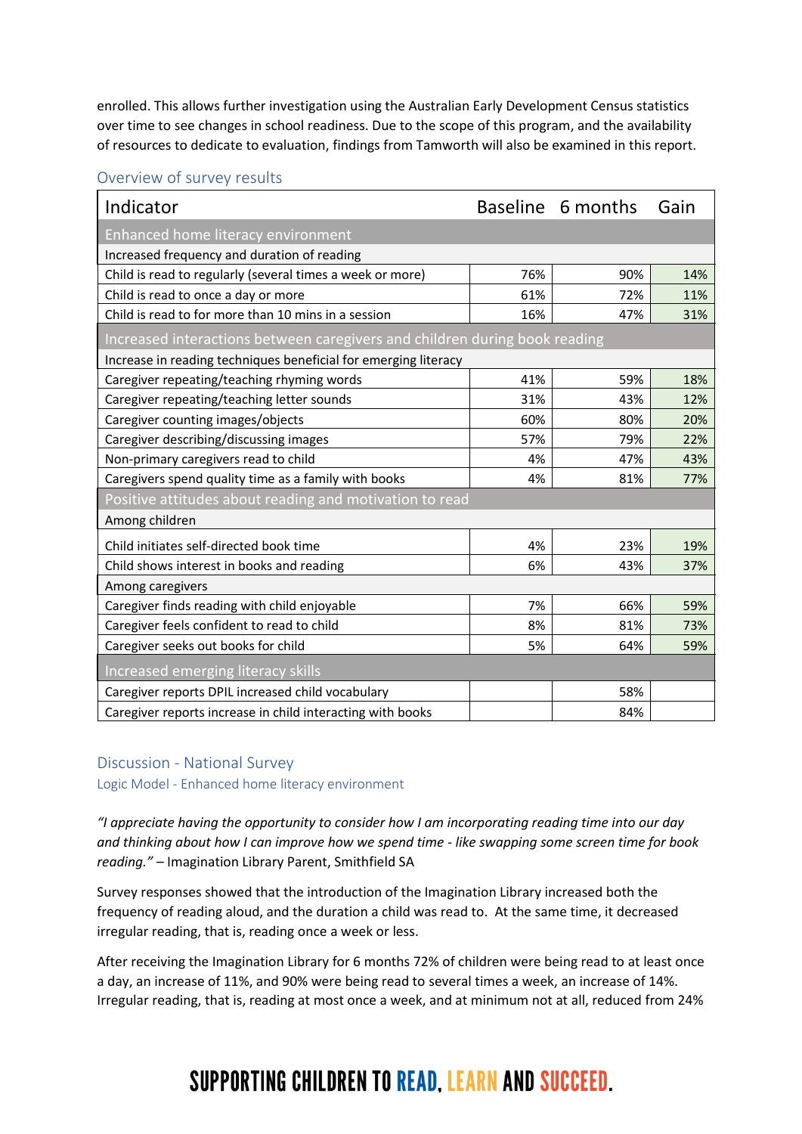enrolled. This allows further investigation using the Australian Early Development Census statistics over time to see changes in school readiness. Due to the scope of this program, and the availability of resources to dedicate to evaluation, findings from Tamworth will also be examined in this report.

| Indicator                                                                  |     | Baseline 6 months | Gain |  |
|----------------------------------------------------------------------------|-----|-------------------|------|--|
| Enhanced home literacy environment                                         |     |                   |      |  |
| Increased frequency and duration of reading                                |     |                   |      |  |
| Child is read to regularly (several times a week or more)                  | 76% | 90%               | 14%  |  |
| Child is read to once a day or more                                        | 61% | 72%               | 11%  |  |
| Child is read to for more than 10 mins in a session                        | 16% | 47%               | 31%  |  |
| Increased interactions between caregivers and children during book reading |     |                   |      |  |
| Increase in reading techniques beneficial for emerging literacy            |     |                   |      |  |
| Caregiver repeating/teaching rhyming words                                 | 41% | 59%               | 18%  |  |
| Caregiver repeating/teaching letter sounds                                 | 31% | 43%               | 12%  |  |
| Caregiver counting images/objects                                          | 60% | 80%               | 20%  |  |
| Caregiver describing/discussing images                                     | 57% | 79%               | 22%  |  |
| Non-primary caregivers read to child                                       | 4%  | 47%               | 43%  |  |
| Caregivers spend quality time as a family with books                       | 4%  | 81%               | 77%  |  |
| Positive attitudes about reading and motivation to read                    |     |                   |      |  |
| Among children                                                             |     |                   |      |  |
| Child initiates self-directed book time                                    | 4%  | 23%               | 19%  |  |
| Child shows interest in books and reading                                  | 6%  | 43%               | 37%  |  |
| Among caregivers                                                           |     |                   |      |  |
| Caregiver finds reading with child enjoyable                               | 7%  | 66%               | 59%  |  |
| Caregiver feels confident to read to child                                 | 8%  | 81%               | 73%  |  |
| Caregiver seeks out books for child                                        | 5%  | 64%               | 59%  |  |
| Increased emerging literacy skills                                         |     |                   |      |  |
| Caregiver reports DPIL increased child vocabulary                          |     | 58%               |      |  |
| Caregiver reports increase in child interacting with books                 |     | 84%               |      |  |

#### Discussion - National Survey

Logic Model - Enhanced home literacy environment

*"I appreciate having the opportunity to consider how I am incorporating reading time into our day and thinking about how I can improve how we spend time - like swapping some screen time for book reading." –* Imagination Library Parent, Smithfield SA

Survey responses showed that the introduction of the Imagination Library increased both the frequency of reading aloud, and the duration a child was read to. At the same time, it decreased irregular reading, that is, reading once a week or less.

After receiving the Imagination Library for 6 months 72% of children were being read to at least once a day, an increase of 11%, and 90% were being read to several times a week, an increase of 14%. Irregular reading, that is, reading at most once a week, and at minimum not at all, reduced from 24%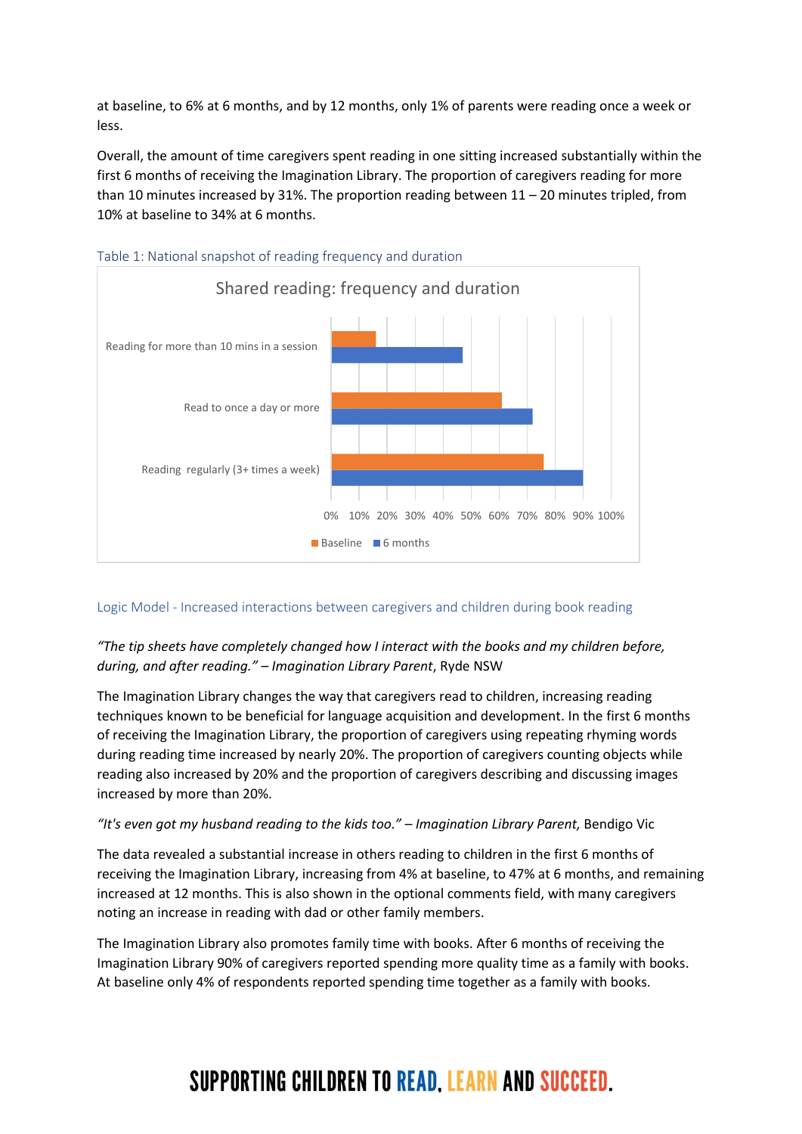at baseline, to 6% at 6 months, and by 12 months, only 1% of parents were reading once a week or less.

Overall, the amount of time caregivers spent reading in one sitting increased substantially within the first 6 months of receiving the Imagination Library. The proportion of caregivers reading for more than 10 minutes increased by 31%. The proportion reading between  $11 - 20$  minutes tripled, from 10% at baseline to 34% at 6 months.





#### Logic Model - Increased interactions between caregivers and children during book reading

### *"The tip sheets have completely changed how I interact with the books and my children before, during, and after reading." – Imagination Library Parent*, Ryde NSW

The Imagination Library changes the way that caregivers read to children, increasing reading techniques known to be beneficial for language acquisition and development. In the first 6 months of receiving the Imagination Library, the proportion of caregivers using repeating rhyming words during reading time increased by nearly 20%. The proportion of caregivers counting objects while reading also increased by 20% and the proportion of caregivers describing and discussing images increased by more than 20%.

#### *"It's even got my husband reading to the kids too." – Imagination Library Parent,* Bendigo Vic

The data revealed a substantial increase in others reading to children in the first 6 months of receiving the Imagination Library, increasing from 4% at baseline, to 47% at 6 months, and remaining increased at 12 months. This is also shown in the optional comments field, with many caregivers noting an increase in reading with dad or other family members.

The Imagination Library also promotes family time with books. After 6 months of receiving the Imagination Library 90% of caregivers reported spending more quality time as a family with books. At baseline only 4% of respondents reported spending time together as a family with books.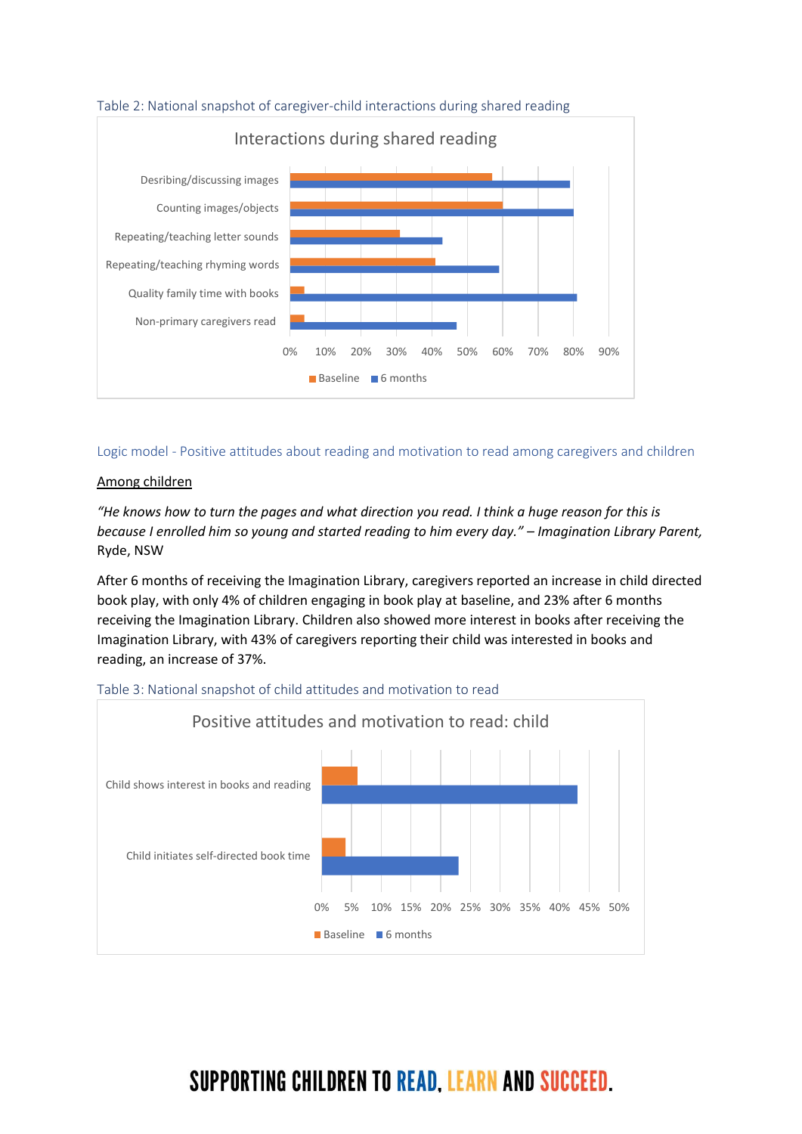

Logic model - Positive attitudes about reading and motivation to read among caregivers and children

#### Among children

*"He knows how to turn the pages and what direction you read. I think a huge reason for this is because I enrolled him so young and started reading to him every day." – Imagination Library Parent,*  Ryde, NSW

After 6 months of receiving the Imagination Library, caregivers reported an increase in child directed book play, with only 4% of children engaging in book play at baseline, and 23% after 6 months receiving the Imagination Library. Children also showed more interest in books after receiving the Imagination Library, with 43% of caregivers reporting their child was interested in books and reading, an increase of 37%.



#### Table 3: National snapshot of child attitudes and motivation to read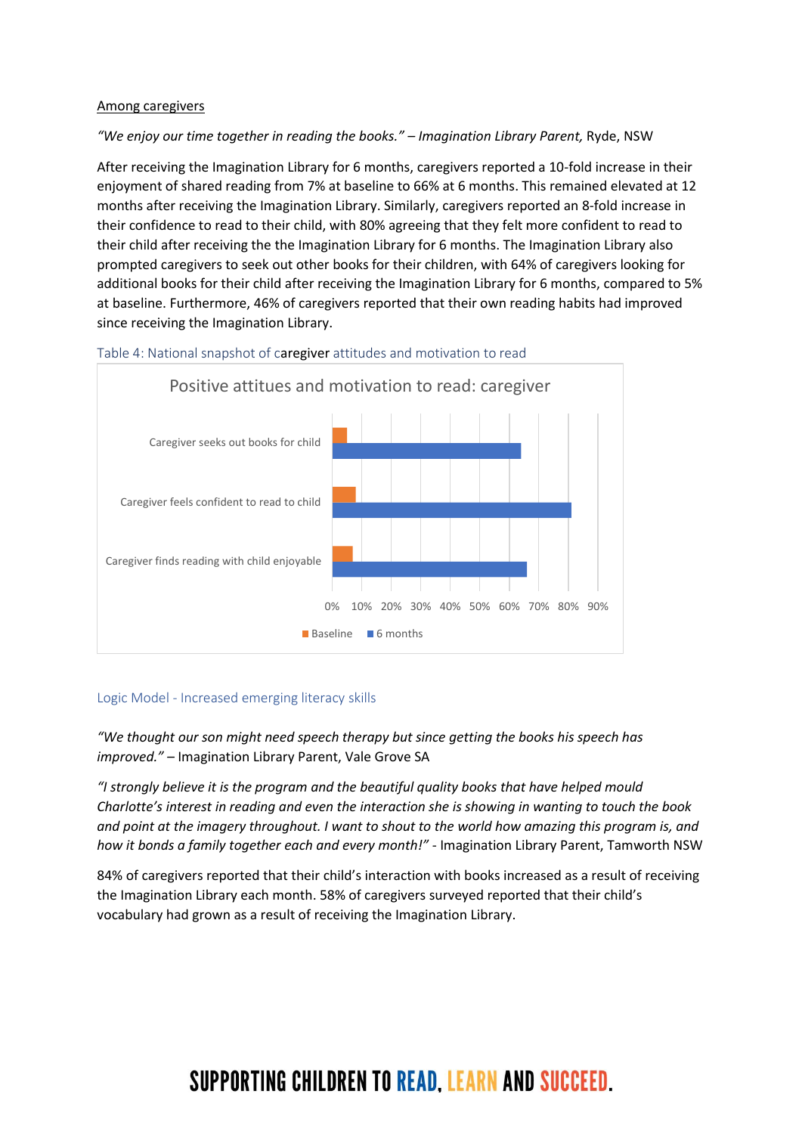#### Among caregivers

#### *"We enjoy our time together in reading the books." – Imagination Library Parent,* Ryde, NSW

After receiving the Imagination Library for 6 months, caregivers reported a 10-fold increase in their enjoyment of shared reading from 7% at baseline to 66% at 6 months. This remained elevated at 12 months after receiving the Imagination Library. Similarly, caregivers reported an 8-fold increase in their confidence to read to their child, with 80% agreeing that they felt more confident to read to their child after receiving the the Imagination Library for 6 months. The Imagination Library also prompted caregivers to seek out other books for their children, with 64% of caregivers looking for additional books for their child after receiving the Imagination Library for 6 months, compared to 5% at baseline. Furthermore, 46% of caregivers reported that their own reading habits had improved since receiving the Imagination Library.





#### Logic Model - Increased emerging literacy skills

*"We thought our son might need speech therapy but since getting the books his speech has improved." –* Imagination Library Parent, Vale Grove SA

*"I strongly believe it is the program and the beautiful quality books that have helped mould Charlotte's interest in reading and even the interaction she is showing in wanting to touch the book and point at the imagery throughout. I want to shout to the world how amazing this program is, and how it bonds a family together each and every month!"* - Imagination Library Parent, Tamworth NSW

84% of caregivers reported that their child's interaction with books increased as a result of receiving the Imagination Library each month. 58% of caregivers surveyed reported that their child's vocabulary had grown as a result of receiving the Imagination Library.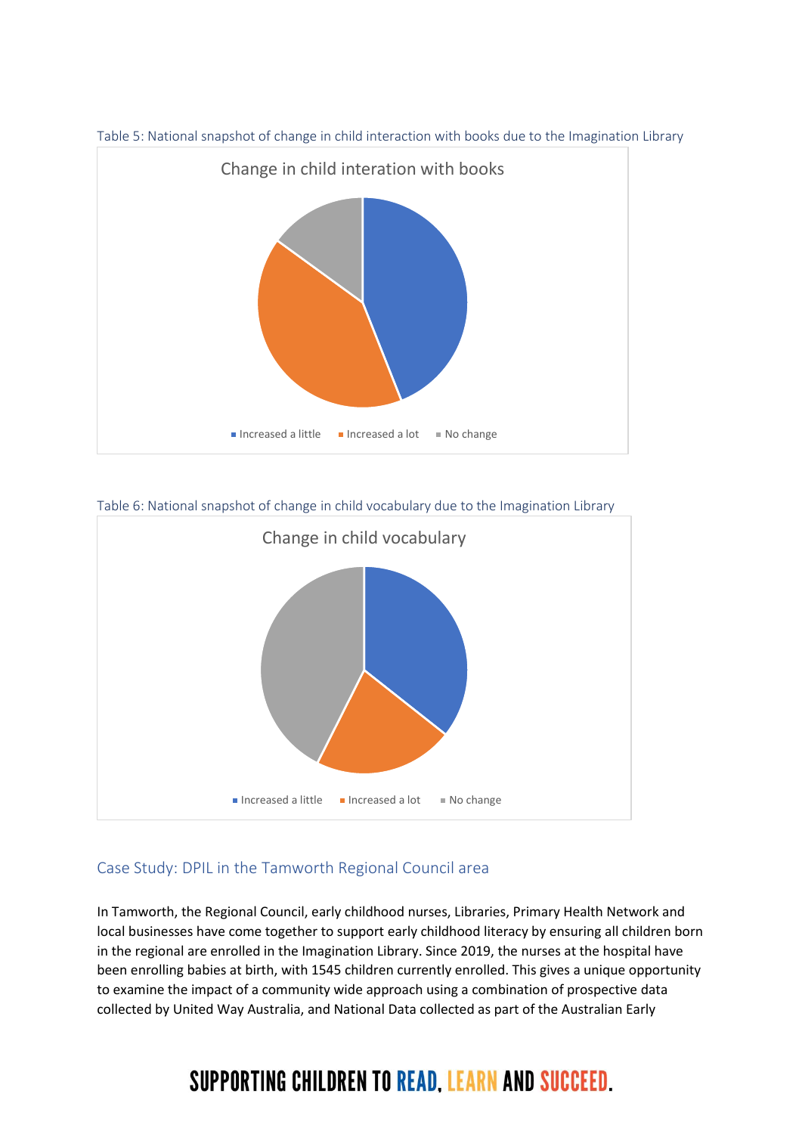

Table 5: National snapshot of change in child interaction with books due to the Imagination Library

Table 6: National snapshot of change in child vocabulary due to the Imagination Library



### Case Study: DPIL in the Tamworth Regional Council area

In Tamworth, the Regional Council, early childhood nurses, Libraries, Primary Health Network and local businesses have come together to support early childhood literacy by ensuring all children born in the regional are enrolled in the Imagination Library. Since 2019, the nurses at the hospital have been enrolling babies at birth, with 1545 children currently enrolled. This gives a unique opportunity to examine the impact of a community wide approach using a combination of prospective data collected by United Way Australia, and National Data collected as part of the Australian Early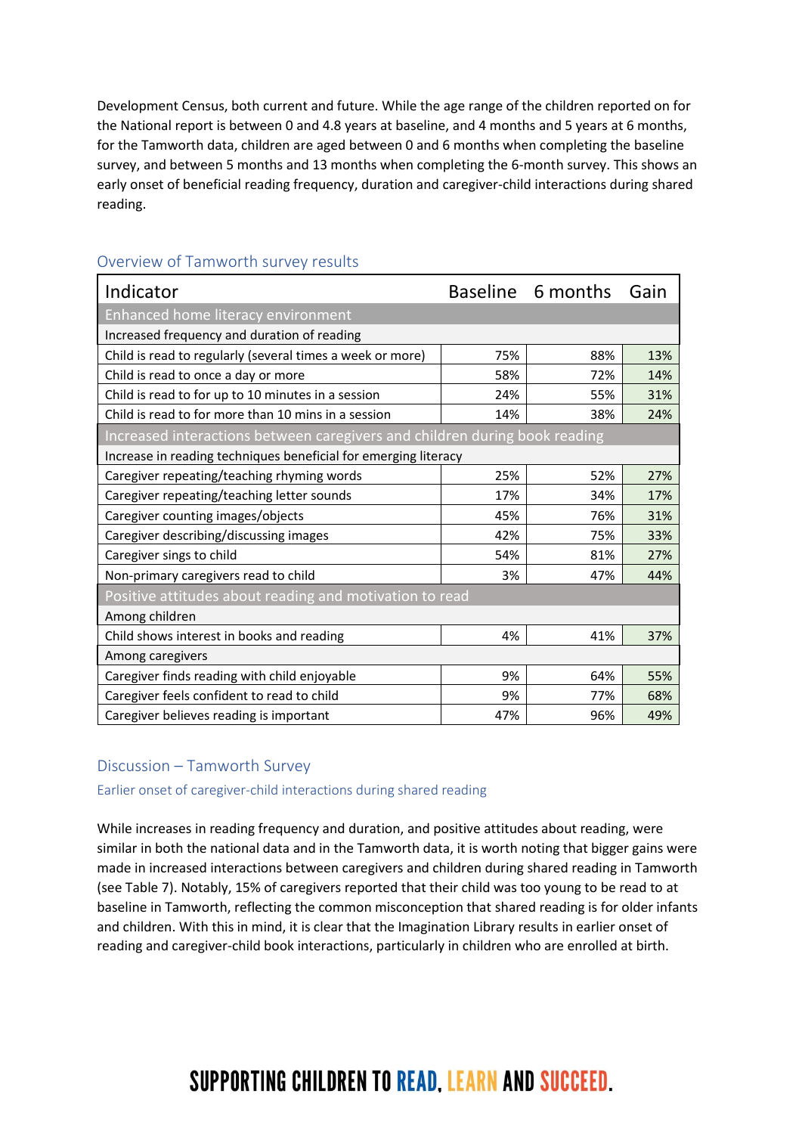Development Census, both current and future. While the age range of the children reported on for the National report is between 0 and 4.8 years at baseline, and 4 months and 5 years at 6 months, for the Tamworth data, children are aged between 0 and 6 months when completing the baseline survey, and between 5 months and 13 months when completing the 6-month survey. This shows an early onset of beneficial reading frequency, duration and caregiver-child interactions during shared reading.

| Indicator                                                                  |     | Baseline 6 months | Gain |  |
|----------------------------------------------------------------------------|-----|-------------------|------|--|
| Enhanced home literacy environment                                         |     |                   |      |  |
| Increased frequency and duration of reading                                |     |                   |      |  |
| Child is read to regularly (several times a week or more)                  | 75% | 88%               | 13%  |  |
| Child is read to once a day or more                                        | 58% | 72%               | 14%  |  |
| Child is read to for up to 10 minutes in a session                         | 24% | 55%               | 31%  |  |
| Child is read to for more than 10 mins in a session                        | 14% | 38%               | 24%  |  |
| Increased interactions between caregivers and children during book reading |     |                   |      |  |
| Increase in reading techniques beneficial for emerging literacy            |     |                   |      |  |
| Caregiver repeating/teaching rhyming words                                 | 25% | 52%               | 27%  |  |
| Caregiver repeating/teaching letter sounds                                 | 17% | 34%               | 17%  |  |
| Caregiver counting images/objects                                          | 45% | 76%               | 31%  |  |
| Caregiver describing/discussing images                                     | 42% | 75%               | 33%  |  |
| Caregiver sings to child                                                   | 54% | 81%               | 27%  |  |
| Non-primary caregivers read to child                                       | 3%  | 47%               | 44%  |  |
| Positive attitudes about reading and motivation to read                    |     |                   |      |  |
| Among children                                                             |     |                   |      |  |
| Child shows interest in books and reading                                  | 4%  | 41%               | 37%  |  |
| Among caregivers                                                           |     |                   |      |  |
| Caregiver finds reading with child enjoyable                               | 9%  | 64%               | 55%  |  |
| Caregiver feels confident to read to child                                 | 9%  | 77%               | 68%  |  |
| Caregiver believes reading is important                                    | 47% | 96%               | 49%  |  |

### Overview of Tamworth survey results

### Discussion – Tamworth Survey

Earlier onset of caregiver-child interactions during shared reading

While increases in reading frequency and duration, and positive attitudes about reading, were similar in both the national data and in the Tamworth data, it is worth noting that bigger gains were made in increased interactions between caregivers and children during shared reading in Tamworth (see Table 7). Notably, 15% of caregivers reported that their child was too young to be read to at baseline in Tamworth, reflecting the common misconception that shared reading is for older infants and children. With this in mind, it is clear that the Imagination Library results in earlier onset of reading and caregiver-child book interactions, particularly in children who are enrolled at birth.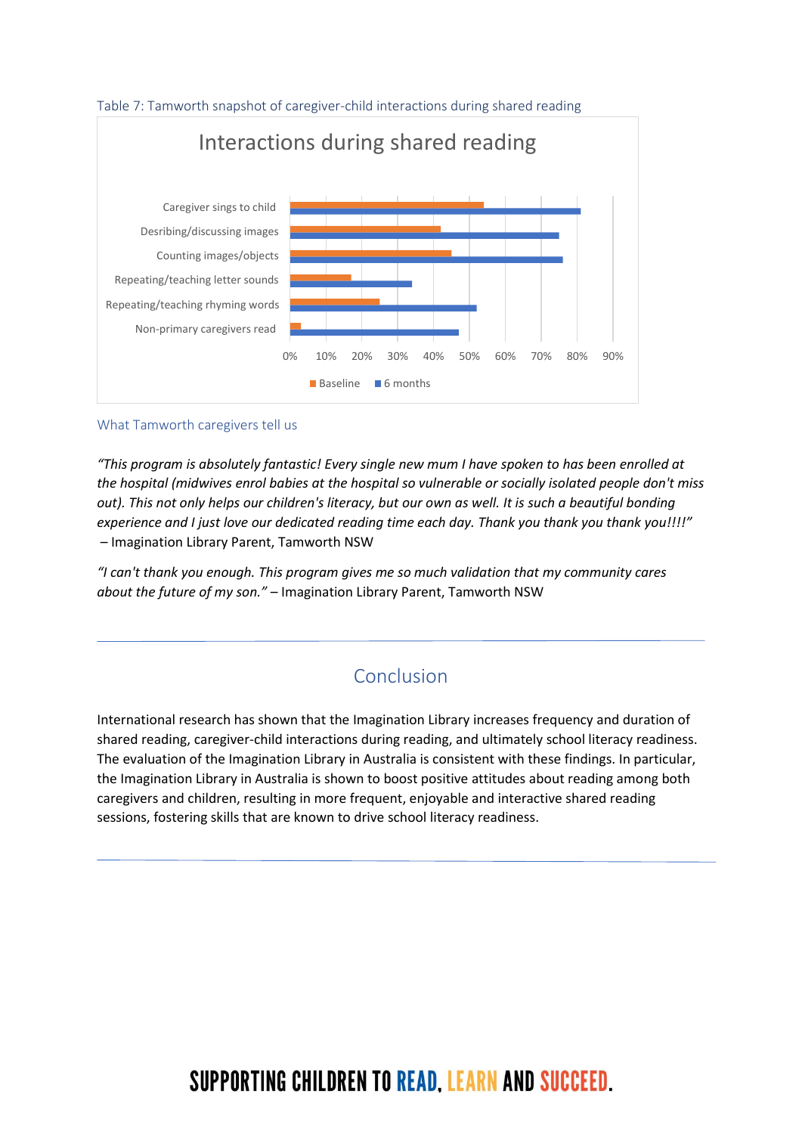

#### What Tamworth caregivers tell us

*"This program is absolutely fantastic! Every single new mum I have spoken to has been enrolled at the hospital (midwives enrol babies at the hospital so vulnerable or socially isolated people don't miss out). This not only helps our children's literacy, but our own as well. It is such a beautiful bonding experience and I just love our dedicated reading time each day. Thank you thank you thank you!!!!"* – Imagination Library Parent, Tamworth NSW

*"I can't thank you enough. This program gives me so much validation that my community cares about the future of my son."* – Imagination Library Parent, Tamworth NSW

### Conclusion

International research has shown that the Imagination Library increases frequency and duration of shared reading, caregiver-child interactions during reading, and ultimately school literacy readiness. The evaluation of the Imagination Library in Australia is consistent with these findings. In particular, the Imagination Library in Australia is shown to boost positive attitudes about reading among both caregivers and children, resulting in more frequent, enjoyable and interactive shared reading sessions, fostering skills that are known to drive school literacy readiness.